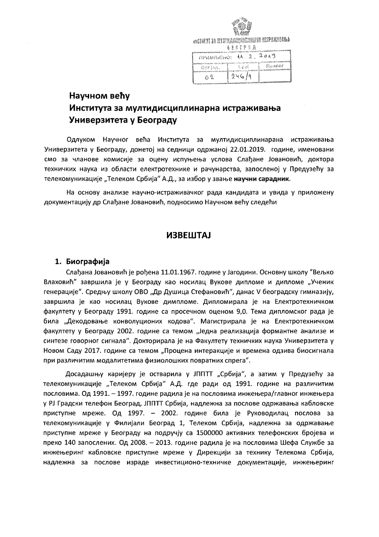# *ANGTHYT 30 MYSTH ANGHALIMAN PAL VSTPAXINDADA* SUITE STRA

| THE CAN BELLER CROSS TO LATE                                                           | .                                                                     |  |         |  |
|----------------------------------------------------------------------------------------|-----------------------------------------------------------------------|--|---------|--|
| alakkan kata masa di dina masa masa dan sang kata sa kasasa da kasa da sa kasasan sa s |                                                                       |  |         |  |
| Oprisa.                                                                                | 私收納                                                                   |  | floanof |  |
|                                                                                        | неся на это налево полатических на налических блого поставительности. |  |         |  |
|                                                                                        |                                                                       |  |         |  |
| Λ9.                                                                                    | १ 246 /1                                                              |  |         |  |
|                                                                                        |                                                                       |  |         |  |

# Научном већу Института за мултидисциплинарна истраживања Универзитета у Београду

Одлуком Научног већа Института за мултидисциплинарана истраживања Универзитета у Београду, донетој на седници одржаној 22.01.2019. године, именовани смо за чланове комисије за оцену испуњења услова Слађане Јовановић, доктора техничких наука из области електротехнике и рачунарства, запосленој у Предузећу за телекомуникације "Телеком Србија" А.Д., за избор у звање научни сарадник.

На основу анализе научно-истраживачког рада кандидата и увида у приложену документацију др Слађане Јовановић, подносимо Научном већу следећи

## **ИЗВЕШТАЈ**

### 1. Биографија

Слађана Јовановић је рођена 11.01.1967. године у Јагодини. Основну школу "Вељко Влаховић" завршила је у Београду као носилац Вукове дипломе и дипломе "Ученик генерације". Средњу школу ОВО "Др Душица Стефановић", данас V београдску гимназију, завршила је као носилац Вукове димпломе. Дипломирала је на Електротехничком факултету у Београду 1991. године са просечном оценом 9,0. Тема дипломског рада је била "Декодовање конволуционих кодова". Магистрирала је на Електротехничком факултету у Београду 2002. године са темом "Једна реализација формантне анализе и синтезе говорног сигнала". Докторирала је на Факултету техничких наука Универзитета у Новом Саду 2017. године са темом "Процена интеракције и времена одзива биосигнала при различитим модалитетима физиолошких повратних спрега".

Досадашњу каријеру је остварила у ЈППТТ "Србија", а затим у Предузећу за телекомуникације "Телеком Србија" А.Д. где ради од 1991. године на различитим пословима. Од 1991. – 1997. године радила је на пословима инжењера/главног инжењера у РЈ Градски телефон Београд, ЈППТТ Србија, надлежна за послове одржавања кабловске приступне мреже. Од 1997. - 2002. године била је Руководилац послова за телекомуникације у Филијали Београд 1, Телеком Србија, надлежна за одржавање приступне мреже у Београду на подручју са 1500000 активних телефонских бројева и преко 140 запослених. Од 2008. – 2013. године радила је на пословима Шефа Службе за инжењеринг кабловске приступне мреже у Дирекцији за технику Телекома Србија, надлежна за послове израде инвестиционо-техничке документације, инжењеринг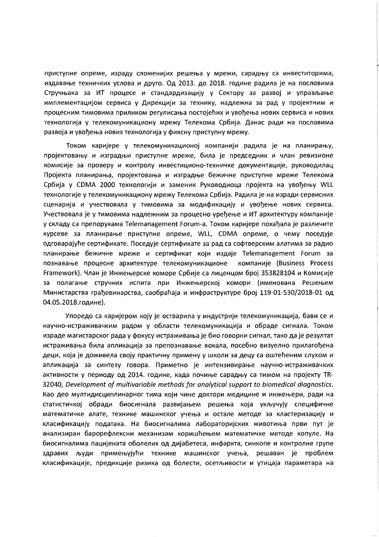приступне опреме, израду сложенијих решења у мрежи, сарадњу са инвеститорима, издавање техничких услова и друго. Од 2013. до 2018. године радила је на пословима Стручњака за ИТ процесе и стандардизацију у Сектору за развој и управљање имплементацијом сервиса у Дирекцији за технику, надлежна за рад у пројектним и процесним тимовима приликом регулисања постојећих и увођења нових сервиса и нових технологија у телекомуникациону мрежу Телекома Србија. Данас ради на пословима развоја и увођења нових технологија у фиксну приступну мрежу.

Током каријере у телекомуникационој компанији радила је на планирању, пројектовању и изградњи приступне мреже, била је председник и члан ревизионе комисије за проверу и контролу инвестиционо-техничке документације, руководилац Пројекта планирања, пројектовања и изградње бежичне приступне мреже Телекома Србија у СDMA 2000 технологији и заменик Руководиоца пројекта на увођењу WLL технологије у телекомуникациону мрежу Телекома Србија. Радила је на изради сервисних сценарија и учествовала у тимовима за модификацију и увођење нових сервиса. Учествовала је у тимовима надлежним за процесно уређење и ИТ архитектуру компаније у складу са препорукама Telemanagement Forum-а. Током каријере похађала је различите курсеве за планирање приступне опреме, WLL, CDMA опреме, о чему поседује одговарајуће сертификате. Поседује сертификате за рад са софтверским алатима за радио планирање бежичне мреже и сертификат који издаје Telemanagement Forum за познавање процесне архитектуре телекомуникационе компаније (Business Process Framework). Члан је Инжењерске коморе Србије са лиценцом број 353828104 и Комисије за полагање стручних испита при Инжењерској комори (именована Решењем Министарства грађевинарства, саобраћаја и инфраструктуре број 119-01-530/2018-01 од 04.05.2018. године).

Упоредо са каријером коју је остварила у индустрији телекомуникација, бави се и научно-истраживачким радом у области телекомуникација и обраде сигнала. Током израде магистарског рада у фокусу истраживања је био говорни сигнал, тако да је резултат истраживања била апликација за препознавање вокала, посебно визуелно прилагођена деци, која је доживела своју практичну примену у школи за децу са оштећеним слухом и апликација за синтезу говора. Приметно је интензивирање научно-истраживачких активности у периоду од 2014. године, када почиње сарадњу са тимом на пројекту ТR-32040, Development of multivariable methods for analytical support to biomedical diagnostics. Као део мултидисциплинарног тима који чине доктори медицине и инжењери, ради на статистичкој обради биосигнала развијањем решења која укључују специфичне математичке алате, технике машинског учења и остале методе за кластеризацију и класификацију података. На биосигналима лабораторијских животиња први пут је анализиран барорефлексни механизам коришћењем математичке методе копуле. На биосигналима пацијената оболелих од дијабетеса, инфаркта, синкопе и контролне групе здравих људи примењујући технике машинског учења, решаван је проблем класификације, предикције ризика од болести, осетљивости и утицаја параметара на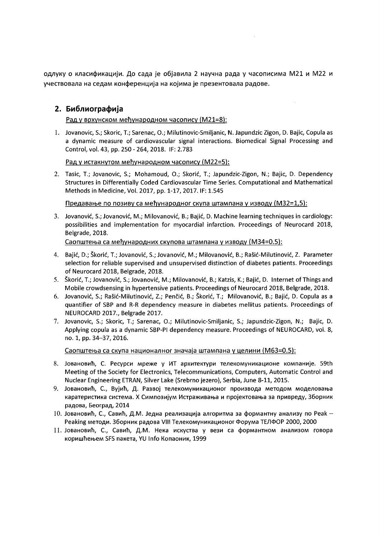одлуку о класификацији. До сада је објавила 2 научна рада у часописима М21 и М22 и учествовала на седам конференција на којима је презентовала радове.

## 2. Библиографија

Рад у врхунском међународном часопису (М21=8):

1. Jovanovic, S.; Skoric, T.; Sarenac, O.; Milutinovic-Smiljanic, N. Japundzic Zigon, D. Bajic, Copula as a dynamic measure of cardiovascular signal interactions. Biomedical Signal Processing and Control, vol. 43, pp. 250 - 264, 2018. IF: 2.783

Рад у истакнутом међународном часопису (М22=5):

2. Tasic, T.; Jovanovic, S.; Mohamoud, O.; Skorić, T.; Japundzic-Zigon, N.; Bajic, D. Dependency Structures in Differentially Coded Cardiovascular Time Series. Computational and Mathematical Methods in Medicine, Vol. 2017, pp. 1-17, 2017. IF: 1.545

Предавање по позиву са међународног скупа штампана у изводу (M32=1,5):

3. Jovanović, S.; Jovanović, M.; Milovanović, B.; Bajić, D. Machine learning techniques in cardiology: possibilities and implementation for myocardial infarction. Proceedings of Neurocard 2018, Belgrade, 2018.

Саопштења са међународних скупова штампана у изводу (М34=0.5):

- 4. Bajić, D.; Škorić, T.; Jovanović, S.; Jovanović, M.; Milovanović, B.; Rašić-Milutinović, Z. Parameter selection for reliable supervised and unsupervised distinction of diabetes patients. Proceedings of Neurocard 2018, Belgrade, 2018.
- 5. Škorić, T.; Jovanović, S.; Jovanović, M.; Milovanović, B.; Katzis, K.; Bajić, D. Internet of Things and Mobile crowdsensing in hypertensive patients. Proceedings of Neurocard 2018, Belgrade, 2018.
- 6. Jovanović, S.; Rašić-Milutinović, Z.; Penčić, B.; Škorić, T.; Milovanović, B.; Bajić, D. Copula as a quantifier of SBP and R-R dependency measure in diabetes mellitus patients. Proceedings of NEUROCARD 2017., Belgrade 2017.
- 7. Jovanovic, S.; Skoric, T.; Sarenac, O.; Milutinovic-Smiljanic, S.; Japundzic-Zigon, N.; Bajic, D. Applying copula as a dynamic SBP-PI dependency measure. Proceedings of NEUROCARD, vol. 8, no. 1, pp. 34-37, 2016.

Саопштења са скупа националног значаја штампана у целини (М63=0.5):

- 8. Јовановић, С. Ресурси мреже у ИТ архитектури телекомуникационе компаније. 59th Meeting of the Society for Electronics, Telecommunications, Computers, Automatic Control and Nuclear Engineering ETRAN, Silver Lake (Srebrno jezero), Serbia, June 8-11, 2015.
- 9. Јовановић, С., Вујић, Д. Развој телекомуникационог производа методом моделовања каратеристика система. Х Симпозијум Истраживања и пројектовања за привреду, Зборник радова, Београд, 2014
- 10. Јовановић, С., Савић, Д.М. Једна реализација алгоритма за формантну анализу по Реак -Peaking методи. Зборник радова VIII Телекомуникационог Форума ТЕЛФОР 2000, 2000
- 11. Јовановић, С., Савић, Д.М. Нека искуства у вези са формантном анализом говора коришћењем SFS пакета, YU Info Копаоник, 1999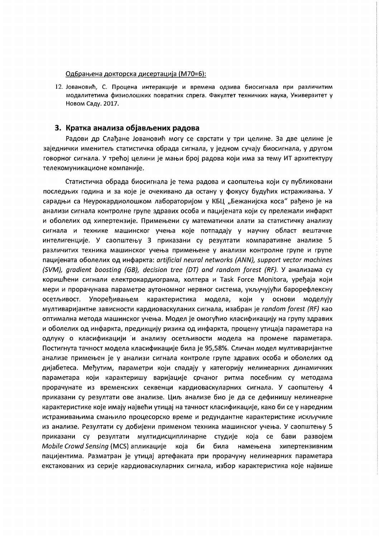#### Одбрањена докторска дисертација (М70=6):

12. Јовановић, С. Процена интеракције и времена одзива биосигнала при различитим модалитетима физиолошких повратних спрега. Факултет техничких наука, Универзитет у Новом Саду. 2017.

#### 3. Кратка анализа објављених радова

Радови др Слађане Јовановић могу се сврстати у три целине. За две целине је заједнички именитељ статистичка обрада сигнала, у једном сучају биосигнала, у другом говорног сигнала. У трећој целини је мањи број радова који има за тему ИТ архитектуру телекомуникационе компаније.

Статистичка обрада биосигнала је тема радова и саопштења који су публиковани последњих година и за које је очекивано да остану у фокусу будућих истраживања. У сарадњи са Неурокардиолошком лабораторијом у КБЦ "Бежанијска коса" рађено је на анализи сигнала контролне групе здравих особа и пацијената који су прележали инфаркт и оболелих од хипертензије. Примењени су математички алати за статистичку анализу сигнала и технике машинског учења које потпадају у научну област вештачке интелигенције. У саопштењу 3 приказани су резултати компаративне анализе 5 различитих техника машинског учења примењене у анализи контролне групе и групе пацијената оболелих од инфаркта: artificial neural networks (ANN), support vector machines (SVM), gradient boosting (GB), decision tree (DT) and random forest (RF). У анализама су коришћени сигнали електрокардиограма, холтера и Task Force Monitora, уређаја који мери и прорачунава параметре аутономног нервног система, укључујући барорефлексну осетљивост. Упоређивањем карактеристика модела, који у основи моделују мултиваријантне зависности кардиоваскуланих сигнала, изабран је random forest (RF) као оптимална метода машинског учења. Модел је омогућио класификацију на групу здравих и оболелих од инфаркта, предикцију ризика од инфаркта, процену утицаја параметара на одлуку о класификацији и анализу осетљивости модела на промене параметара. Постигнута тачност модела класификације била је 95,58%. Сличан модел мултиваријантне анализе примењен је у анализи сигнала контроле групе здравих особа и оболелих од дијабетеса. Међутим, параметри који спадају у категорију нелинеарних динамичких параметара који карактеришу варијације срчаног ритма посебним су методама прорачунате из временских секвенци кардиоваскуларних сигнала. У саопштењу 4 приказани су резултати ове анализе. Циљ анализе био је да се дефинишу нелинеарне карактеристике које имају највећи утицај на тачност класификације, како би се у наредним истраживањима смањило процесорско време и редундантне карактеристике искључиле из анализе. Резултати су добијени применом техника машинског учења. У саопштењу 5 приказани су резултати мултидисциплинарне студије која се бави развојем Mobile Crowd Sensing (MCS) апликације која би била намењена хипертензивним пацијентима. Разматран је утицај артефаката при прорачуну нелинеарних параметара екстакованих из серије кардиоваскуларних сигнала, избор карактеристика које највише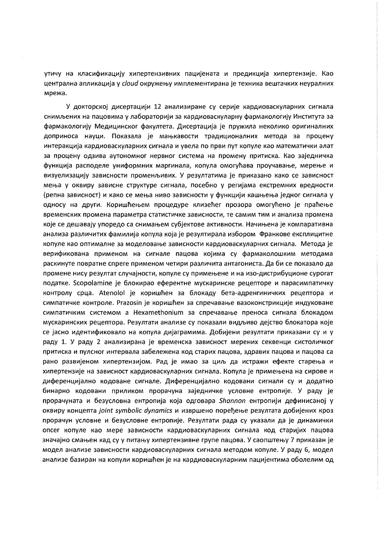утичу на класификацију хипертензивних пацијената и предикција хипертензије. Као централна апликација у cloud окружењу имплементирана је техника вештачких неуралних мрежа.

У докторској дисертацији 12 анализиране су серије кардиоваскуларних сигнала снимљених на пацовима у лабораторији за кардиоваскуларну фармакологију Института за фармакологију Медицинског факултета. Дисертација је пружила неколико оригиналних доприноса науци. Показала је мањкавости традиционалних метода за процену интеракција кардиоваскуларних сигнала и увела по први пут копуле као математички алат за процену одзива аутономног нервног система на промену притиска. Као заједничка функција расподеле униформних маргинала, копула омогућава проучавање, мерење и визуелизацију зависности променљивих. У резултатима је приказано како се зависност мења у оквиру зависне структуре сигнала, посебно у регијама екстремних вредности (репна зависност) и како се мења ниво зависности у функцији кашњења једног сигнала у односу на други. Коришћењем процедуре клизећег прозора омогућено је праћење временских промена параметра статистичке зависности, те самим тим и анализа промена које се дешавају упоредо са снимањем субјектове активности. Начињена је компаративна анализа различитих фамилија копула која је резултирала избором Франкове експлицитне копуле као оптималне за моделовање зависности кардиоваскуларних сигнала. Метода је верификована применом на сигнале пацова којима су фармаколошким методама раскинуте повратне спреге применом четири различита антагониста. Да би се показало да промене нису резултат случајности, копуле су примењене и на изо-дистрибуционе сурогат податке. Scopolamine је блокирао еферентне мускаринске рецепторе и парасимпатичку контролу срца. Atenolol је коришћен за блокаду бета-адренгиничких рецептора и симпатичке контроле. Prazosin је коришћен за спречавање вазоконстрикције индуковане симпатичким системом а Hexamethonium за спречавање преноса сигнала блокадом мускаринских рецептора. Резултати анализе су показали видљиво дејство блокатора које се јасно идентификовало на копула дијаграмима. Добијени резултати приказани су и у раду 1. У раду 2 анализирана је временска зависност мерених секвенци систоличког притиска и пулсног интервала забележена код старих пацова, здравих пацова и пацова са рано развијеном хипертензијом. Рад је имао за циљ да истражи ефекте старења и хипертензије на зависност кардиоваскуларних сигнала. Копула је примењена на сирове и диференцијално кодоване сигнале. Диференцијално кодовани сигнали су и додатно бинарно кодовани приликом прорачуна заједничке условне ентропије. У раду је прорачуната и безусловна ентропија која одговара Shannon ентропији дефинисаној у оквиру концепта joint symbolic dynamics и извршено поређење резултата добијених кроз прорачун условне и безусловне ентропије. Резултати рада су указали да је динамички опсег копуле као мере зависности кардиоваскуларних сигнала код старијих пацова значајно смањен кад су у питању хипертензивне групе пацова. У саопштењу 7 приказан је модел анализе зависности кардиоваскуларних сигнала методом копуле. У раду 6, модел анализе базиран на копули коришћен је на кардиоваскуларним пацијентима оболелим од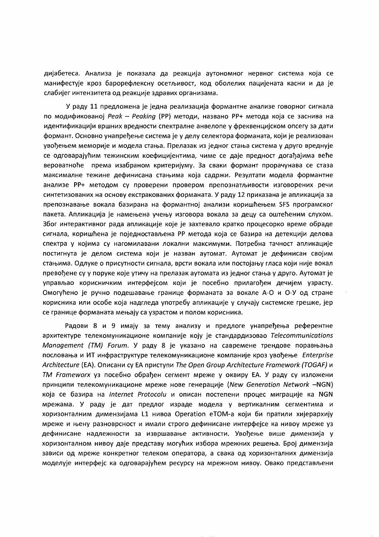дијабетеса. Анализа је показала да реакција аутономног нервног система која се манифестује кроз барорефлексну осетљивост, код оболелих пацијената касни и да је слабијег интензитета од реакције здравих организама.

У раду 11 предложена је једна реализација формантне анализе говорног сигнала по модификованој Peak - Peaking (PP) методи, названо PP+ метода која се заснива на идентификацији вршних вредности спектралне анвелопе у фреквенцијском опсегу за дати формант. Основно унапређење система је у делу селектора форманата, који је реализован увођењем меморије и модела стања. Прелазак из једног стања система у друго вреднује се одговарајућим тежинским коефицијентима, чиме се даје предност догађајима веће вероватноће према изабраном критеријуму. За сваки формант прорачунава се стаза максималне тежине дефинисана стањима која садржи. Резултати модела формантне анализе PP+ методом су проверени провером препознатљивости изговорених речи синтетизованих на основу екстракованих форманата. У раду 12 приказана је апликација за препознавање вокала базирана на формантној анализи коришћењем SFS програмског пакета. Апликација је намењена учењу изговора вокала за децу са оштећеним слухом. Због интерактивног рада апликације које је захтевало кратко процесорко време обраде сигнала, коришћена је поједностављена РР метода која се базира на детекцији делова спектра у којима су нагомилавани локални максимуми. Потребна тачност апликације постигнута је делом система који је назван аутомат. Аутомат је дефинисан својим стањима. Одлуке о присутности сигнала, врсти вокала или постојању гласа који није вокал превођене су у поруке које утичу на прелазак аутомата из једног стања у друго. Аутомат је управљао корисничким интерфејсом који је посебно прилагођен дечијем узрасту. Омогућено је ручно подешавање границе форманата за вокале А-О и О-У од стране корисника или особе која надгледа употребу апликације у случају системске грешке, јер се границе форманата мењају са узрастом и полом корисника.

Радови 8 и 9 имају за тему анализу и предлоге унапређења референтне архитектуре телекомуникационе компаније коју је стандардизовао Telecommunications Management (TM) Forum. У раду 8 је указано на савремене трендове поравњања пословања и ИТ инфраструктуре телекомуникационе компаније кроз увођење Enterprise Architecture (EA). Описани су ЕА приступи The Open Group Architecture Framework (TOGAF) и ТМ Frameworx уз посебно обрађен сегмент мреже у оквиру ЕА. У раду су изложени принципи телекомуникационе мреже нове генерације (New Generation Network -NGN) која се базира на Internet Protocolu и описан постепени процес миграције ка NGN мрежама. У раду је дат предлог израде модела у вертикалним сегментима и хоризонталним димензијама L1 нивоа Operation eTOM-а који би пратили хијерархију мреже и њену разноврсност и имали строго дефинисане интерфејсе ка нивоу мреже уз дефинисане надлежности за извршавање активности. Увођење више димензија у хоризонталном нивоу даје представу могућих избора мрежних решења. Број димензија зависи од мреже конкретног телеком оператора, а свака од хоризонталних димензија моделује интерфејс ка одговарајућем ресурсу на мрежном нивоу. Овако представљени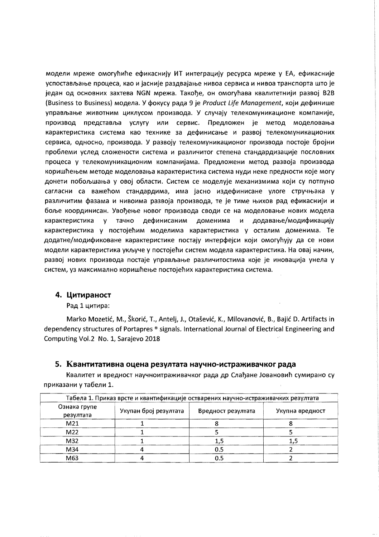модели мреже омогућиће ефикаснију ИТ интеграцију ресурса мреже у ЕА, ефикасније успостављање процеса, као и јасније раздвајање нивоа сервиса и нивоа транспорта што је један од основних захтева NGN мрежа. Такође, он омогућава квалитетнији развој B2B (Business to Business) модела. У фокусу рада 9 је Product Life Management, који дефинише управљање животним циклусом производа. У случају телекомуникационе компаније, производ представља услугу или сервис. Предложен је метод моделовања карактеристика система као технике за дефинисање и развој телекомуникационих сервиса, односно, производа. У развоју телекомуникационог производа постоје бројни проблеми услед сложености система и различитог степена стандардизације пословних процеса у телекомуникационим компанијама. Предложени метод развоја производа коришћењем методе моделовања карактеристика система нуди неке предности које могу донети побољшања у овој области. Систем се моделује механизмима који су потпуно сагласни са важећом стандардима, има јасно издефинисане улоге стручњака у различитим фазама и нивоима развоја производа, те је тиме њихов рад ефикаснији и боље координисан. Увођење новог производа своди се на моделовање нових модела карактеристика у тачно дефинисаним доменима и додавање/модификацију карактеристика у постојећим моделима карактеристика у осталим доменима. Те додатне/модификоване карактеристике постају интерфејси који омогућују да се нови модели карактеристика укључе у постојећи систем модела карактеристика. На овај начин, развој нових производа постаје управљање различитостима које је иновација унела у систем, уз максимално коришћење постојећих карактеристика система.

#### 4. Цитираност

Рад 1 цитира:

Marko Mozetić, M., Škorić, T., Antelj, J., Otašević, K., Milovanović, B., Bajić D. Artifacts in dependency structures of Portapres ® signals. International Journal of Electrical Engineering and Computing Vol.2 No. 1, Sarajevo 2018

#### 5. Квантитативна оцена резултата научно-истраживачког рада

Квалитет и вредност научноитраживачког рада др Слађане Јовановић сумирано су приказани у табели 1.

| Табела 1. Приказ врсте и квантификације остварених научно-истраживачких резултата |                       |                    |                 |  |
|-----------------------------------------------------------------------------------|-----------------------|--------------------|-----------------|--|
| Ознака групе<br>резултата                                                         | Укупан број резултата | Вредност резултата | Укупна вредност |  |
| M21                                                                               |                       |                    |                 |  |
| M22                                                                               |                       |                    |                 |  |
| M32                                                                               |                       |                    |                 |  |
| M34                                                                               |                       | 0.5                |                 |  |
| M63                                                                               |                       | 0.5                |                 |  |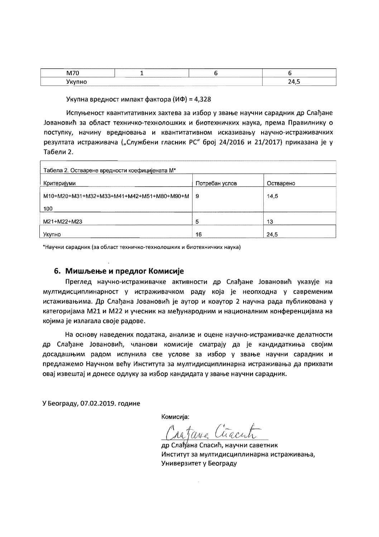| $-1$<br>87 | ----- | ------------------ |    |
|------------|-------|--------------------|----|
|            |       |                    | -- |

Укупна вредност импакт фактора (ИФ) = 4,328

Испуњеност квантитативних захтева за избор у звање научни сарадник др Слађане Јовановић за област техничко-технолошких и биотехничких наука, према Правилнику о поступку, начину вредновања и квантитативном исказивању научно-истраживачких резултата истраживача ("Службени гласник РС" број 24/2016 и 21/2017) приказана је у Табели 2.

| Табела 2. Остварене вредности коефицијената М* |                |           |  |
|------------------------------------------------|----------------|-----------|--|
| Критеријуми                                    | Потребан услов | Остварено |  |
| M10+M20+M31+M32+M33+M41+M42+M51+M80+M90+M      | -9             | 14,5      |  |
| 100                                            |                |           |  |
| M21+M22+M23                                    | 5              | 13        |  |
| Укупно                                         | 16             | 24,5      |  |

\*Научни сарадник (за област техничко-технолошких и биотехничких наука)

#### 6. Мишљење и предлог Комисије

Преглед научно-истраживачке активности др Слађане Јовановић указује на мултидисциплинарност у истраживачком раду која је неопходна у савременим истаживањима. Др Слађана Јовановић је аутор и коаутор 2 научна рада публикована у категоријама M21 и M22 и учесник на међународним и националним конференцијама на којима је излагала своје радове.

На основу наведених података, анализе и оцене научно-истраживачке делатности др Слађане Јовановић, чланови комисије сматрају да је кандидаткиња својим досадашњим радом испунила све услове за избор у звање научни сарадник и предлажемо Научном већу Института за мултидисциплинарна истраживања да прихвати овај извештај и донесе одлуку за избор кандидата у звање научни сарадник.

У Београду, 07.02.2019. године

Комисија:

др Слађана Спасић, научни саветник Институт за мултидисциплинарна истраживања, Универзитет у Београду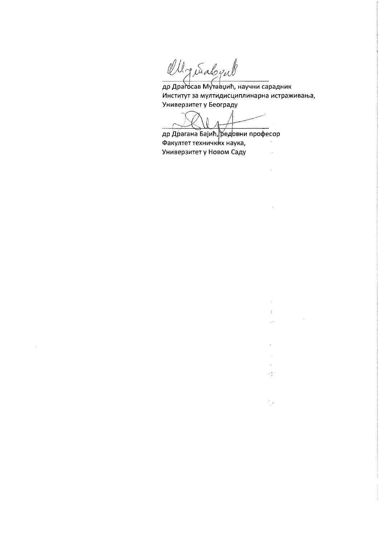Ollgeralgub

 $\bar{z}$ 

др Драгосав Мутавџић, научни сарадник Институт за мултидисциплинарна истраживања, Универзитет у Београду

 $\mathcal{L}^{\text{max}}_{\text{max}}$  , where  $\mathcal{L}^{\text{max}}_{\text{max}}$ 

 $\sim$ 

 $\mathcal{V}$  $\mathcal{L}^{(1)}$ 

 $\frac{1}{2} \mathcal{A}^{(1)}$  .

 $\overline{\phantom{a}}$ 

 $\mathcal{A}$  $\tau_{\rm eff}$  $\times \mathbb{C}^{n+1}$ 

 $\frac{1}{2}$ 

др Драгана Бајић, редовни професор Факултет техничких наука, Универзитет у Новом Саду  $\sim$   $\sim$